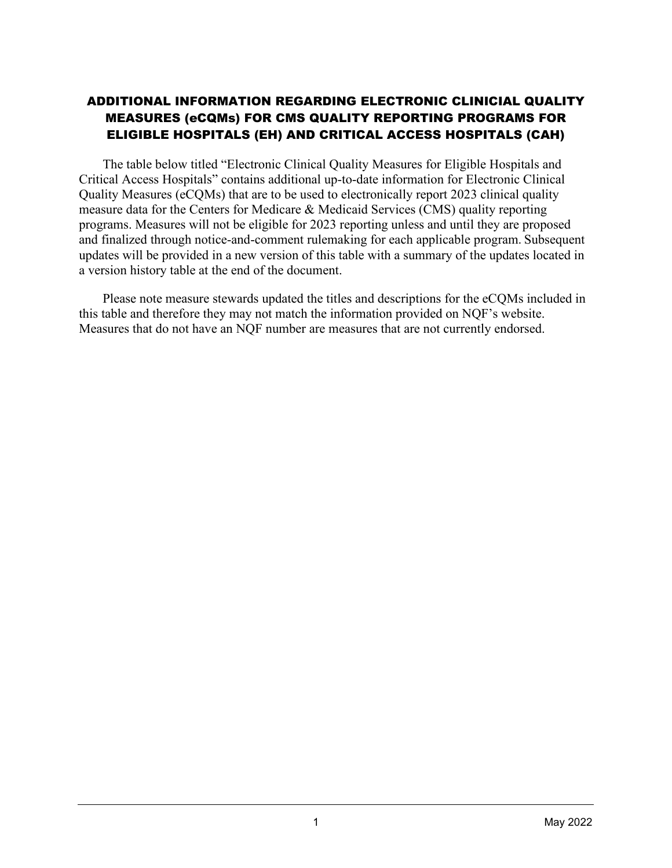## ADDITIONAL INFORMATION REGARDING ELECTRONIC CLINICIAL QUALITY MEASURES (eCQMs) FOR CMS QUALITY REPORTING PROGRAMS FOR ELIGIBLE HOSPITALS (EH) AND CRITICAL ACCESS HOSPITALS (CAH)

The table below titled "Electronic Clinical Quality Measures for Eligible Hospitals and Critical Access Hospitals" contains additional up-to-date information for Electronic Clinical Quality Measures (eCQMs) that are to be used to electronically report 2023 clinical quality measure data for the Centers for Medicare & Medicaid Services (CMS) quality reporting programs. Measures will not be eligible for 2023 reporting unless and until they are proposed and finalized through notice-and-comment rulemaking for each applicable program. Subsequent updates will be provided in a new version of this table with a summary of the updates located in a version history table at the end of the document.

Please note measure stewards updated the titles and descriptions for the eCQMs included in this table and therefore they may not match the information provided on NQF's website. Measures that do not have an NQF number are measures that are not currently endorsed.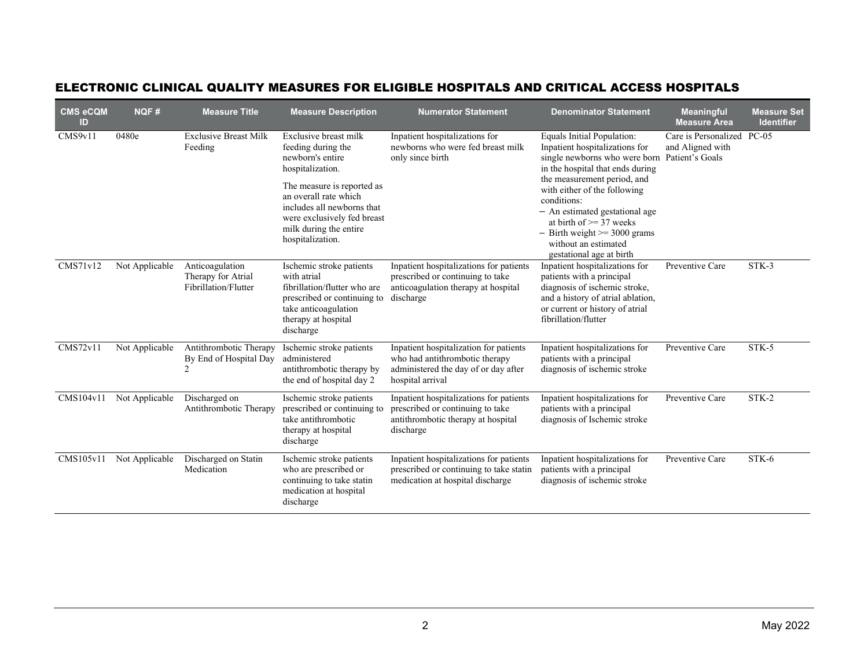| <b>CMS eCQM</b><br>ID | <b>NQF#</b>    | <b>Measure Title</b>                                          | <b>Measure Description</b>                                                                                                                                                                                                                            | <b>Numerator Statement</b>                                                                                                           | <b>Denominator Statement</b>                                                                                                                                                                                                                                                                                                                                              | <b>Meaningful</b><br><b>Measure Area</b>                    | <b>Measure Set</b><br><b>Identifier</b> |
|-----------------------|----------------|---------------------------------------------------------------|-------------------------------------------------------------------------------------------------------------------------------------------------------------------------------------------------------------------------------------------------------|--------------------------------------------------------------------------------------------------------------------------------------|---------------------------------------------------------------------------------------------------------------------------------------------------------------------------------------------------------------------------------------------------------------------------------------------------------------------------------------------------------------------------|-------------------------------------------------------------|-----------------------------------------|
| CMS9v11               | 0480e          | <b>Exclusive Breast Milk</b><br>Feeding                       | Exclusive breast milk<br>feeding during the<br>newborn's entire<br>hospitalization.<br>The measure is reported as<br>an overall rate which<br>includes all newborns that<br>were exclusively fed breast<br>milk during the entire<br>hospitalization. | Inpatient hospitalizations for<br>newborns who were fed breast milk<br>only since birth                                              | Equals Initial Population:<br>Inpatient hospitalizations for<br>single newborns who were born<br>in the hospital that ends during<br>the measurement period, and<br>with either of the following<br>conditions:<br>- An estimated gestational age<br>at birth of $\geq$ 37 weeks<br>$-$ Birth weight $\ge$ 3000 grams<br>without an estimated<br>gestational age at birth | Care is Personalized<br>and Aligned with<br>Patient's Goals | $PC-05$                                 |
| CMS71v12              | Not Applicable | Anticoagulation<br>Therapy for Atrial<br>Fibrillation/Flutter | Ischemic stroke patients<br>with atrial<br>fibrillation/flutter who are<br>prescribed or continuing to<br>take anticoagulation<br>therapy at hospital<br>discharge                                                                                    | Inpatient hospitalizations for patients<br>prescribed or continuing to take<br>anticoagulation therapy at hospital<br>discharge      | Inpatient hospitalizations for<br>patients with a principal<br>diagnosis of ischemic stroke,<br>and a history of atrial ablation,<br>or current or history of atrial<br>fibrillation/flutter                                                                                                                                                                              | Preventive Care                                             | STK-3                                   |
| CMS72v11              | Not Applicable | Antithrombotic Therapy<br>By End of Hospital Day<br>2         | Ischemic stroke patients<br>administered<br>antithrombotic therapy by<br>the end of hospital day 2                                                                                                                                                    | Inpatient hospitalization for patients<br>who had antithrombotic therapy<br>administered the day of or day after<br>hospital arrival | Inpatient hospitalizations for<br>patients with a principal<br>diagnosis of ischemic stroke                                                                                                                                                                                                                                                                               | Preventive Care                                             | STK-5                                   |
| CMS104v11             | Not Applicable | Discharged on<br>Antithrombotic Therapy                       | Ischemic stroke patients<br>prescribed or continuing to<br>take antithrombotic<br>therapy at hospital<br>discharge                                                                                                                                    | Inpatient hospitalizations for patients<br>prescribed or continuing to take<br>antithrombotic therapy at hospital<br>discharge       | Inpatient hospitalizations for<br>patients with a principal<br>diagnosis of Ischemic stroke                                                                                                                                                                                                                                                                               | Preventive Care                                             | STK-2                                   |
| CMS105v11             | Not Applicable | Discharged on Statin<br>Medication                            | Ischemic stroke patients<br>who are prescribed or<br>continuing to take statin<br>medication at hospital<br>discharge                                                                                                                                 | Inpatient hospitalizations for patients<br>prescribed or continuing to take statin<br>medication at hospital discharge               | Inpatient hospitalizations for<br>patients with a principal<br>diagnosis of ischemic stroke                                                                                                                                                                                                                                                                               | Preventive Care                                             | STK-6                                   |

## ELECTRONIC CLINICAL QUALITY MEASURES FOR ELIGIBLE HOSPITALS AND CRITICAL ACCESS HOSPITALS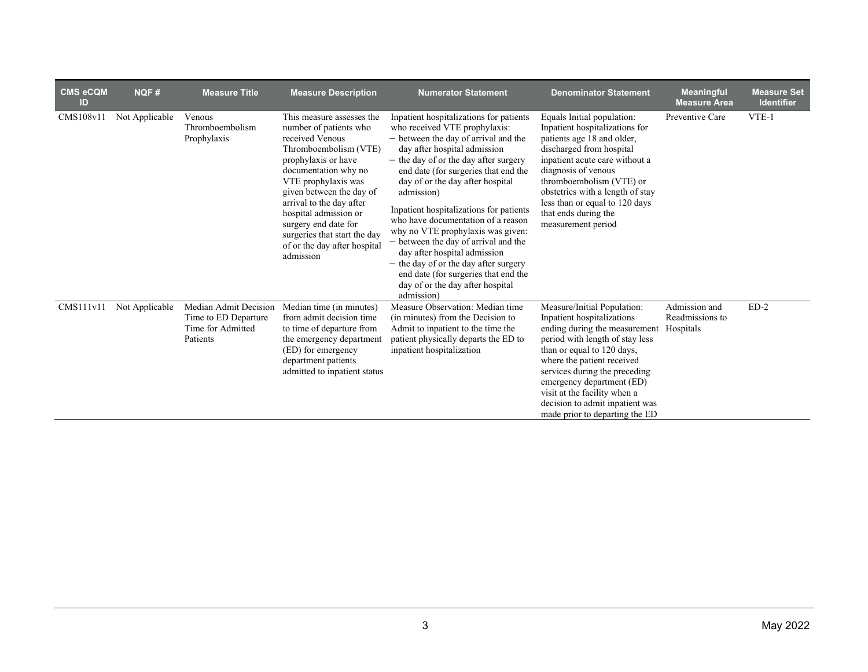| <b>CMS eCQM</b><br><b>ID</b> | NQF#           | <b>Measure Title</b>                                                           | <b>Measure Description</b>                                                                                                                                                                                                                                                                                                                                  | <b>Numerator Statement</b>                                                                                                                                                                                                                                                                                                                                                                                                                                                                                                                                                                                           | <b>Denominator Statement</b>                                                                                                                                                                                                                                                                                                                                 | <b>Meaningful</b><br><b>Measure Area</b>      | <b>Measure Set</b><br><b>Identifier</b> |
|------------------------------|----------------|--------------------------------------------------------------------------------|-------------------------------------------------------------------------------------------------------------------------------------------------------------------------------------------------------------------------------------------------------------------------------------------------------------------------------------------------------------|----------------------------------------------------------------------------------------------------------------------------------------------------------------------------------------------------------------------------------------------------------------------------------------------------------------------------------------------------------------------------------------------------------------------------------------------------------------------------------------------------------------------------------------------------------------------------------------------------------------------|--------------------------------------------------------------------------------------------------------------------------------------------------------------------------------------------------------------------------------------------------------------------------------------------------------------------------------------------------------------|-----------------------------------------------|-----------------------------------------|
| CMS108v11                    | Not Applicable | Venous<br>Thromboembolism<br>Prophylaxis                                       | This measure assesses the<br>number of patients who<br>received Venous<br>Thromboembolism (VTE)<br>prophylaxis or have<br>documentation why no<br>VTE prophylaxis was<br>given between the day of<br>arrival to the day after<br>hospital admission or<br>surgery end date for<br>surgeries that start the day<br>of or the day after hospital<br>admission | Inpatient hospitalizations for patients<br>who received VTE prophylaxis:<br>- between the day of arrival and the<br>day after hospital admission<br>- the day of or the day after surgery<br>end date (for surgeries that end the<br>day of or the day after hospital<br>admission)<br>Inpatient hospitalizations for patients<br>who have documentation of a reason<br>why no VTE prophylaxis was given:<br>- between the day of arrival and the<br>day after hospital admission<br>- the day of or the day after surgery<br>end date (for surgeries that end the<br>day of or the day after hospital<br>admission) | Equals Initial population:<br>Inpatient hospitalizations for<br>patients age 18 and older,<br>discharged from hospital<br>inpatient acute care without a<br>diagnosis of venous<br>thromboembolism (VTE) or<br>obstetrics with a length of stay<br>less than or equal to 120 days<br>that ends during the<br>measurement period                              | Preventive Care                               | VTE-1                                   |
| CMS111v11                    | Not Applicable | Median Admit Decision<br>Time to ED Departure<br>Time for Admitted<br>Patients | Median time (in minutes)<br>from admit decision time<br>to time of departure from<br>the emergency department<br>(ED) for emergency<br>department patients<br>admitted to inpatient status                                                                                                                                                                  | Measure Observation: Median time<br>(in minutes) from the Decision to<br>Admit to inpatient to the time the<br>patient physically departs the ED to<br>inpatient hospitalization                                                                                                                                                                                                                                                                                                                                                                                                                                     | Measure/Initial Population:<br>Inpatient hospitalizations<br>ending during the measurement<br>period with length of stay less<br>than or equal to 120 days,<br>where the patient received<br>services during the preceding<br>emergency department (ED)<br>visit at the facility when a<br>decision to admit inpatient was<br>made prior to departing the ED | Admission and<br>Readmissions to<br>Hospitals | $ED-2$                                  |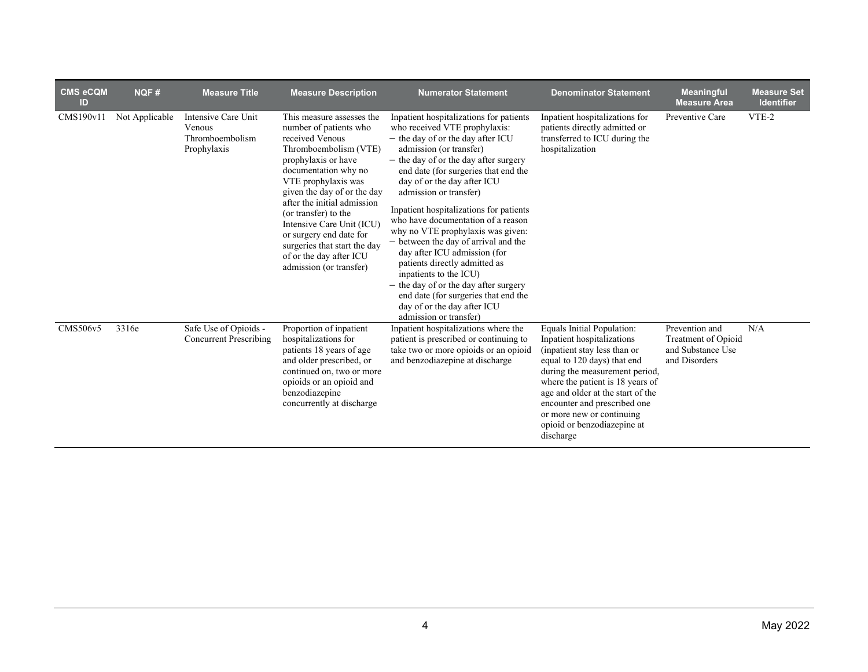| <b>CMS eCQM</b><br>ID | NQF#           | <b>Measure Title</b>                                            | <b>Measure Description</b>                                                                                                                                                                                                                                                                                                                                                                                | <b>Numerator Statement</b>                                                                                                                                                                                                                                                                                                                                                                                                                                                                                                                                                                                                                                                            | <b>Denominator Statement</b>                                                                                                                                                                                                                                                                                                                | <b>Meaningful</b><br><b>Measure Area</b>                                    | <b>Measure Set</b><br><b>Identifier</b> |
|-----------------------|----------------|-----------------------------------------------------------------|-----------------------------------------------------------------------------------------------------------------------------------------------------------------------------------------------------------------------------------------------------------------------------------------------------------------------------------------------------------------------------------------------------------|---------------------------------------------------------------------------------------------------------------------------------------------------------------------------------------------------------------------------------------------------------------------------------------------------------------------------------------------------------------------------------------------------------------------------------------------------------------------------------------------------------------------------------------------------------------------------------------------------------------------------------------------------------------------------------------|---------------------------------------------------------------------------------------------------------------------------------------------------------------------------------------------------------------------------------------------------------------------------------------------------------------------------------------------|-----------------------------------------------------------------------------|-----------------------------------------|
| CMS190v11             | Not Applicable | Intensive Care Unit<br>Venous<br>Thromboembolism<br>Prophylaxis | This measure assesses the<br>number of patients who<br>received Venous<br>Thromboembolism (VTE)<br>prophylaxis or have<br>documentation why no<br>VTE prophylaxis was<br>given the day of or the day<br>after the initial admission<br>(or transfer) to the<br>Intensive Care Unit (ICU)<br>or surgery end date for<br>surgeries that start the day<br>of or the day after ICU<br>admission (or transfer) | Inpatient hospitalizations for patients<br>who received VTE prophylaxis:<br>- the day of or the day after ICU<br>admission (or transfer)<br>- the day of or the day after surgery<br>end date (for surgeries that end the<br>day of or the day after ICU<br>admission or transfer)<br>Inpatient hospitalizations for patients<br>who have documentation of a reason<br>why no VTE prophylaxis was given:<br>- between the day of arrival and the<br>day after ICU admission (for<br>patients directly admitted as<br>inpatients to the ICU)<br>- the day of or the day after surgery<br>end date (for surgeries that end the<br>day of or the day after ICU<br>admission or transfer) | Inpatient hospitalizations for<br>patients directly admitted or<br>transferred to ICU during the<br>hospitalization                                                                                                                                                                                                                         | Preventive Care                                                             | VTE-2                                   |
| CMS506v5              | 3316e          | Safe Use of Opioids -<br><b>Concurrent Prescribing</b>          | Proportion of inpatient<br>hospitalizations for<br>patients 18 years of age<br>and older prescribed, or<br>continued on, two or more<br>opioids or an opioid and<br>benzodiazepine<br>concurrently at discharge                                                                                                                                                                                           | Inpatient hospitalizations where the<br>patient is prescribed or continuing to<br>take two or more opioids or an opioid<br>and benzodiazepine at discharge                                                                                                                                                                                                                                                                                                                                                                                                                                                                                                                            | Equals Initial Population:<br>Inpatient hospitalizations<br>(inpatient stay less than or<br>equal to 120 days) that end<br>during the measurement period,<br>where the patient is 18 years of<br>age and older at the start of the<br>encounter and prescribed one<br>or more new or continuing<br>opioid or benzodiazepine at<br>discharge | Prevention and<br>Treatment of Opioid<br>and Substance Use<br>and Disorders | N/A                                     |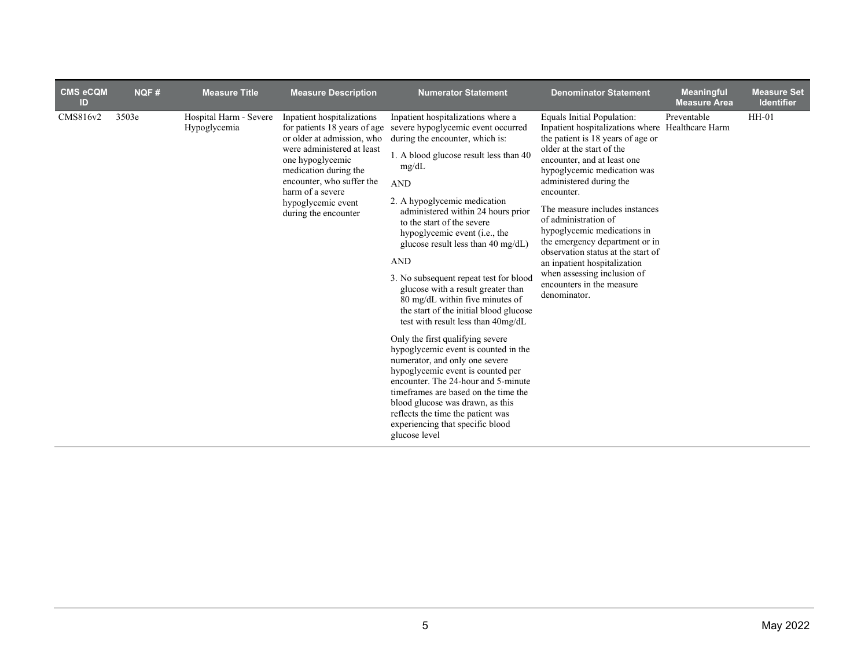| <b>CMS eCQM</b><br>ID | <b>NQF#</b> | <b>Measure Title</b>                   | <b>Measure Description</b>                                                                                                                                                                                                                                         | <b>Numerator Statement</b>                                                                                                                                                                                                                                                                                                                                                                                                                                                                                                                                                                                                                                                                                                                                                                                                                                                                                                                                  | <b>Denominator Statement</b>                                                                                                                                                                                                                                                                                                                                                                                                                                                                                                         | <b>Meaningful</b><br><b>Measure Area</b> | <b>Measure Set</b><br><b>Identifier</b> |
|-----------------------|-------------|----------------------------------------|--------------------------------------------------------------------------------------------------------------------------------------------------------------------------------------------------------------------------------------------------------------------|-------------------------------------------------------------------------------------------------------------------------------------------------------------------------------------------------------------------------------------------------------------------------------------------------------------------------------------------------------------------------------------------------------------------------------------------------------------------------------------------------------------------------------------------------------------------------------------------------------------------------------------------------------------------------------------------------------------------------------------------------------------------------------------------------------------------------------------------------------------------------------------------------------------------------------------------------------------|--------------------------------------------------------------------------------------------------------------------------------------------------------------------------------------------------------------------------------------------------------------------------------------------------------------------------------------------------------------------------------------------------------------------------------------------------------------------------------------------------------------------------------------|------------------------------------------|-----------------------------------------|
| CMS816v2              | 3503e       | Hospital Harm - Severe<br>Hypoglycemia | Inpatient hospitalizations<br>for patients 18 years of age<br>or older at admission, who<br>were administered at least<br>one hypoglycemic<br>medication during the<br>encounter, who suffer the<br>harm of a severe<br>hypoglycemic event<br>during the encounter | Inpatient hospitalizations where a<br>severe hypoglycemic event occurred<br>during the encounter, which is:<br>1. A blood glucose result less than 40<br>mg/dL<br><b>AND</b><br>2. A hypoglycemic medication<br>administered within 24 hours prior<br>to the start of the severe<br>hypoglycemic event ( <i>i.e.</i> , the<br>glucose result less than $40 \text{ mg/dL}$<br><b>AND</b><br>3. No subsequent repeat test for blood<br>glucose with a result greater than<br>80 mg/dL within five minutes of<br>the start of the initial blood glucose<br>test with result less than 40mg/dL<br>Only the first qualifying severe<br>hypoglycemic event is counted in the<br>numerator, and only one severe<br>hypoglycemic event is counted per<br>encounter. The 24-hour and 5-minute<br>time frames are based on the time the<br>blood glucose was drawn, as this<br>reflects the time the patient was<br>experiencing that specific blood<br>glucose level | Equals Initial Population:<br>Inpatient hospitalizations where Healthcare Harm<br>the patient is 18 years of age or<br>older at the start of the<br>encounter, and at least one<br>hypoglycemic medication was<br>administered during the<br>encounter.<br>The measure includes instances<br>of administration of<br>hypoglycemic medications in<br>the emergency department or in<br>observation status at the start of<br>an inpatient hospitalization<br>when assessing inclusion of<br>encounters in the measure<br>denominator. | Preventable                              | $HH-01$                                 |